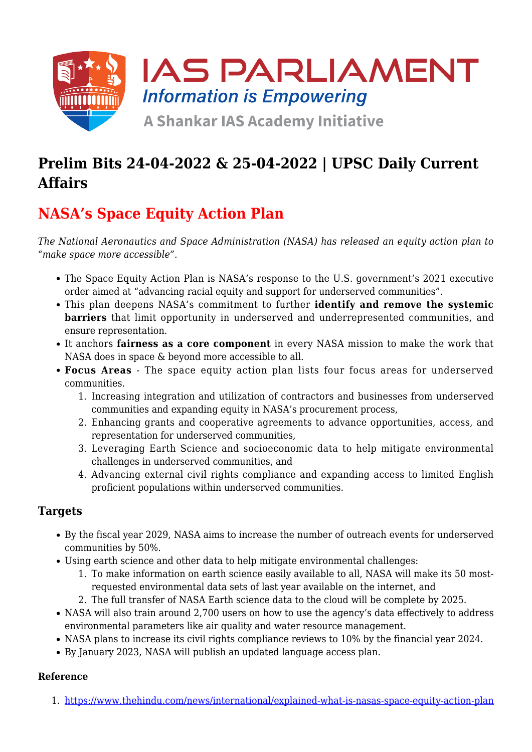

# **Prelim Bits 24-04-2022 & 25-04-2022 | UPSC Daily Current Affairs**

# **NASA's Space Equity Action Plan**

*The National Aeronautics and Space Administration (NASA) has released an equity action plan to "make space more accessible".*

- The Space Equity Action Plan is NASA's response to the U.S. government's 2021 executive order aimed at "advancing racial equity and support for underserved communities".
- This plan deepens NASA's commitment to further **identify and remove the systemic barriers** that limit opportunity in underserved and underrepresented communities, and ensure representation.
- It anchors **fairness as a core component** in every NASA mission to make the work that NASA does in space & beyond more accessible to all.
- **Focus Areas** The space equity action plan lists four focus areas for underserved communities.
	- 1. Increasing integration and utilization of contractors and businesses from underserved communities and expanding equity in NASA's procurement process,
	- 2. Enhancing grants and cooperative agreements to advance opportunities, access, and representation for underserved communities,
	- 3. Leveraging Earth Science and socioeconomic data to help mitigate environmental challenges in underserved communities, and
	- 4. Advancing external civil rights compliance and expanding access to limited English proficient populations within underserved communities.

### **Targets**

- By the fiscal year 2029, NASA aims to increase the number of outreach events for underserved communities by 50%.
- Using earth science and other data to help mitigate environmental challenges:
	- 1. To make information on earth science easily available to all, NASA will make its 50 mostrequested environmental data sets of last year available on the internet, and
	- 2. The full transfer of NASA Earth science data to the cloud will be complete by 2025.
- NASA will also train around 2,700 users on how to use the agency's data effectively to address environmental parameters like air quality and water resource management.
- NASA plans to increase its civil rights compliance reviews to 10% by the financial year 2024.
- By January 2023, NASA will publish an updated language access plan.

#### **Reference**

1. [https://www.thehindu.com/news/international/explained-what-is-nasas-space-equity-action-plan](https://www.thehindu.com/news/international/explained-what-is-nasas-space-equity-action-plan/article65348438.ece?homepage=true)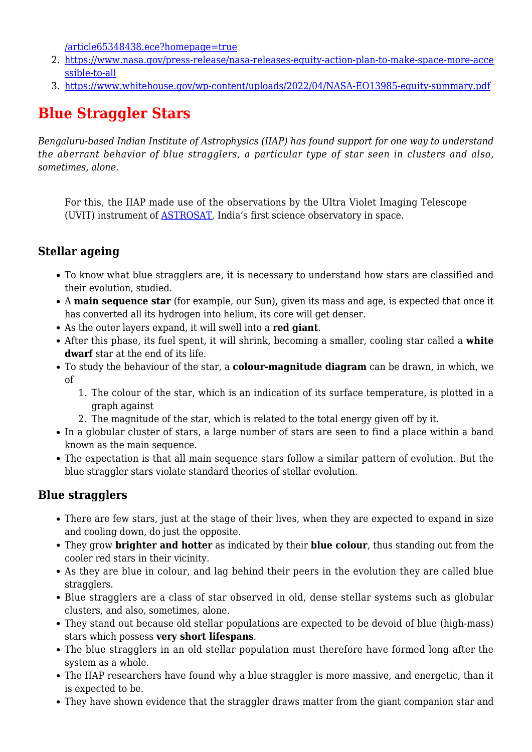[/article65348438.ece?homepage=true](https://www.thehindu.com/news/international/explained-what-is-nasas-space-equity-action-plan/article65348438.ece?homepage=true)

- 2. [https://www.nasa.gov/press-release/nasa-releases-equity-action-plan-to-make-space-more-acce](https://www.nasa.gov/press-release/nasa-releases-equity-action-plan-to-make-space-more-accessible-to-all) [ssible-to-all](https://www.nasa.gov/press-release/nasa-releases-equity-action-plan-to-make-space-more-accessible-to-all)
- 3. <https://www.whitehouse.gov/wp-content/uploads/2022/04/NASA-EO13985-equity-summary.pdf>

## **Blue Straggler Stars**

*Bengaluru-based Indian Institute of Astrophysics (IIAP) has found support for one way to understand the aberrant behavior of blue stragglers, a particular type of star seen in clusters and also, sometimes, alone.*

For this, the IIAP made use of the observations by the Ultra Violet Imaging Telescope (UVIT) instrument of [ASTROSAT](https://www.iasparliament.com/current-affairs/upsc-daily-current-affairs-prelim-bits-28-08-2020), India's first science observatory in space.

### **Stellar ageing**

- To know what blue stragglers are, it is necessary to understand how stars are classified and their evolution, studied.
- A **main sequence star** (for example, our Sun)**,** given its mass and age, is expected that once it has converted all its hydrogen into helium, its core will get denser.
- As the outer layers expand, it will swell into a **red giant**.
- After this phase, its fuel spent, it will shrink, becoming a smaller, cooling star called a **white dwarf** star at the end of its life.
- To study the behaviour of the star, a **colour-magnitude diagram** can be drawn, in which, we of
	- 1. The colour of the star, which is an indication of its surface temperature, is plotted in a graph against
	- 2. The magnitude of the star, which is related to the total energy given off by it.
- In a globular cluster of stars, a large number of stars are seen to find a place within a band known as the main sequence.
- The expectation is that all main sequence stars follow a similar pattern of evolution. But the blue straggler stars violate standard theories of stellar evolution.

### **Blue stragglers**

- There are few stars, just at the stage of their lives, when they are expected to expand in size and cooling down, do just the opposite.
- They grow **brighter and hotter** as indicated by their **blue colour**, thus standing out from the cooler red stars in their vicinity.
- As they are blue in colour, and lag behind their peers in the evolution they are called blue stragglers.
- Blue stragglers are a class of star observed in old, dense stellar systems such as globular clusters, and also, sometimes, alone.
- They stand out because old stellar populations are expected to be devoid of blue (high-mass) stars which possess **very short lifespans**.
- The blue stragglers in an old stellar population must therefore have formed long after the system as a whole.
- The IIAP researchers have found why a blue straggler is more massive, and energetic, than it is expected to be.
- They have shown evidence that the straggler draws matter from the giant companion star and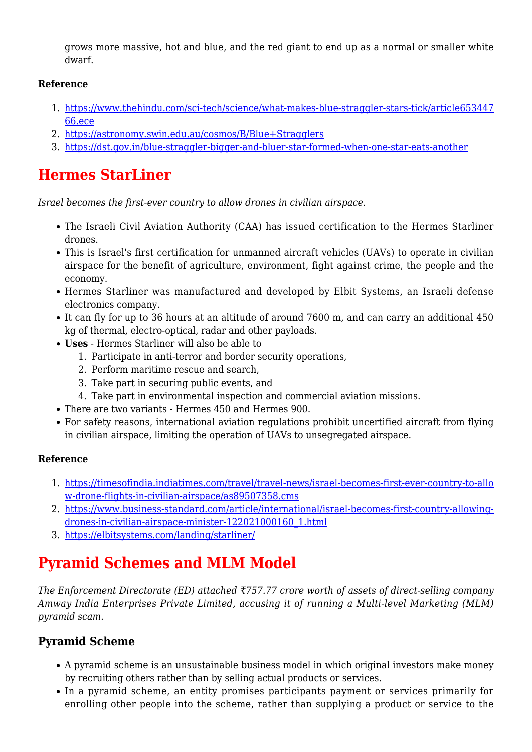grows more massive, hot and blue, and the red giant to end up as a normal or smaller white dwarf.

#### **Reference**

- 1. [https://www.thehindu.com/sci-tech/science/what-makes-blue-straggler-stars-tick/article653447](https://www.thehindu.com/sci-tech/science/what-makes-blue-straggler-stars-tick/article65344766.ece) [66.ece](https://www.thehindu.com/sci-tech/science/what-makes-blue-straggler-stars-tick/article65344766.ece)
- 2. <https://astronomy.swin.edu.au/cosmos/B/Blue+Stragglers>
- 3. <https://dst.gov.in/blue-straggler-bigger-and-bluer-star-formed-when-one-star-eats-another>

## **Hermes StarLiner**

*Israel becomes the first-ever country to allow drones in civilian airspace.*

- The Israeli Civil Aviation Authority (CAA) has issued certification to the Hermes Starliner drones.
- This is Israel's first certification for unmanned aircraft vehicles (UAVs) to operate in civilian airspace for the benefit of agriculture, environment, fight against crime, the people and the economy.
- Hermes Starliner was manufactured and developed by Elbit Systems, an Israeli defense electronics company.
- It can fly for up to 36 hours at an altitude of around 7600 m, and can carry an additional 450 kg of thermal, electro-optical, radar and other payloads.
- **Uses** Hermes Starliner will also be able to
	- 1. Participate in anti-terror and border security operations,
	- 2. Perform maritime rescue and search,
	- 3. Take part in securing public events, and
	- 4. Take part in environmental inspection and commercial aviation missions.
- There are two variants Hermes 450 and Hermes 900.
- For safety reasons, international aviation regulations prohibit uncertified aircraft from flying in civilian airspace, limiting the operation of UAVs to unsegregated airspace.

#### **Reference**

- 1. [https://timesofindia.indiatimes.com/travel/travel-news/israel-becomes-first-ever-country-to-allo](https://timesofindia.indiatimes.com/travel/travel-news/israel-becomes-first-ever-country-to-allow-drone-flights-in-civilian-airspace/as89507358.cms) [w-drone-flights-in-civilian-airspace/as89507358.cms](https://timesofindia.indiatimes.com/travel/travel-news/israel-becomes-first-ever-country-to-allow-drone-flights-in-civilian-airspace/as89507358.cms)
- 2. [https://www.business-standard.com/article/international/israel-becomes-first-country-allowing](https://www.business-standard.com/article/international/israel-becomes-first-country-allowing-drones-in-civilian-airspace-minister-122021000160_1.html)[drones-in-civilian-airspace-minister-122021000160\\_1.html](https://www.business-standard.com/article/international/israel-becomes-first-country-allowing-drones-in-civilian-airspace-minister-122021000160_1.html)
- 3. <https://elbitsystems.com/landing/starliner/>

## **Pyramid Schemes and MLM Model**

*The Enforcement Directorate (ED) attached ₹757.77 crore worth of assets of direct-selling company Amway India Enterprises Private Limited, accusing it of running a Multi-level Marketing (MLM) pyramid scam.*

#### **Pyramid Scheme**

- A pyramid scheme is an unsustainable business model in which original investors make money by recruiting others rather than by selling actual products or services.
- In a pyramid scheme, an entity promises participants payment or services primarily for enrolling other people into the scheme, rather than supplying a product or service to the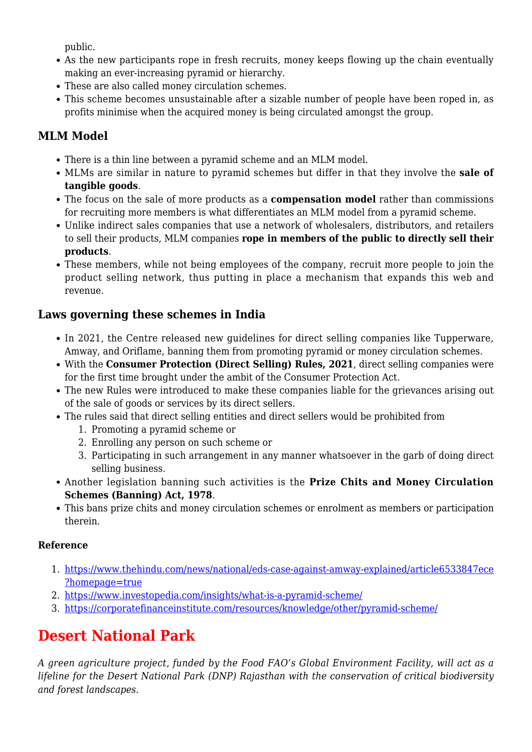public.

- As the new participants rope in fresh recruits, money keeps flowing up the chain eventually making an ever-increasing pyramid or hierarchy.
- These are also called money circulation schemes.
- This scheme becomes unsustainable after a sizable number of people have been roped in, as profits minimise when the acquired money is being circulated amongst the group.

## **MLM Model**

- There is a thin line between a pyramid scheme and an MLM model.
- MLMs are similar in nature to pyramid schemes but differ in that they involve the **sale of tangible goods**.
- The focus on the sale of more products as a **compensation model** rather than commissions for recruiting more members is what differentiates an MLM model from a pyramid scheme.
- Unlike indirect sales companies that use a network of wholesalers, distributors, and retailers to sell their products, MLM companies **rope in members of the public to directly sell their products**.
- These members, while not being employees of the company, recruit more people to join the product selling network, thus putting in place a mechanism that expands this web and revenue.

## **Laws governing these schemes in India**

- In 2021, the Centre released new quidelines for direct selling companies like Tupperware, Amway, and Oriflame, banning them from promoting pyramid or money circulation schemes.
- With the **Consumer Protection (Direct Selling) Rules, 2021**, direct selling companies were for the first time brought under the ambit of the Consumer Protection Act.
- The new Rules were introduced to make these companies liable for the grievances arising out of the sale of goods or services by its direct sellers.
- The rules said that direct selling entities and direct sellers would be prohibited from
	- 1. Promoting a pyramid scheme or
	- 2. Enrolling any person on such scheme or
	- 3. Participating in such arrangement in any manner whatsoever in the garb of doing direct selling business.
- Another legislation banning such activities is the **Prize Chits and Money Circulation Schemes (Banning) Act, 1978**.
- This bans prize chits and money circulation schemes or enrolment as members or participation therein.

#### **Reference**

- 1. [https://www.thehindu.com/news/national/eds-case-against-amway-explained/article6533847ece](https://www.thehindu.com/news/national/eds-case-against-amway-explained/article65338471.ece?homepage=true) [?homepage=true](https://www.thehindu.com/news/national/eds-case-against-amway-explained/article65338471.ece?homepage=true)
- 2. <https://www.investopedia.com/insights/what-is-a-pyramid-scheme/>
- 3. <https://corporatefinanceinstitute.com/resources/knowledge/other/pyramid-scheme/>

# **Desert National Park**

*A green agriculture project, funded by the Food FAO's Global Environment Facility, will act as a lifeline for the Desert National Park (DNP) Rajasthan with the conservation of critical biodiversity and forest landscapes.*